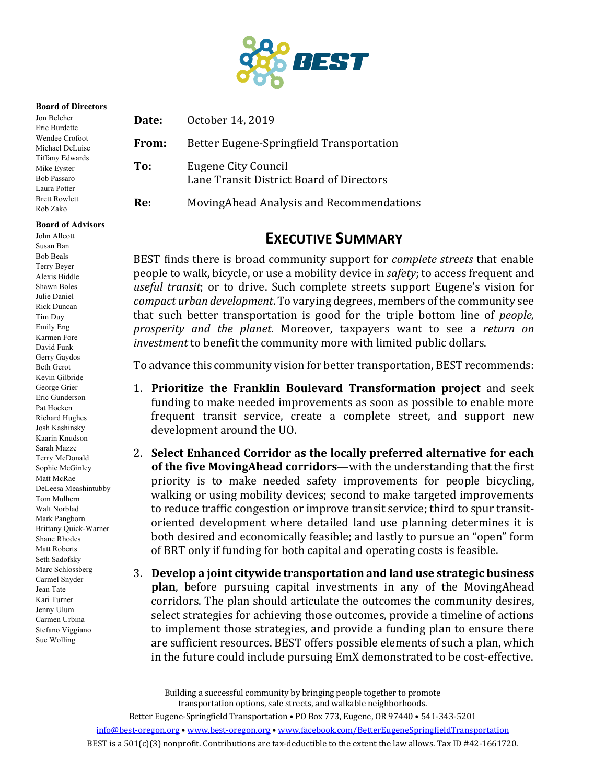

#### **Board of Directors**

| Jon Belcher<br>Eric Burdette                                         | Date: | October 14, 2019                                                |
|----------------------------------------------------------------------|-------|-----------------------------------------------------------------|
| Wendee Crofoot<br>Michael DeLuise                                    | From: | Better Eugene-Springfield Transportation                        |
| Tiffany Edwards<br>Mike Eyster<br><b>Bob Passaro</b><br>Laura Potter | To:   | Eugene City Council<br>Lane Transit District Board of Directors |
| <b>Brett Rowlett</b><br>Rob Zako                                     | Re:   | MovingAhead Analysis and Recommendations                        |

# **EXECUTIVE SUMMARY**

BEST finds there is broad community support for *complete streets* that enable people to walk, bicycle, or use a mobility device in *safety*; to access frequent and *useful transit*; or to drive. Such complete streets support Eugene's vision for *compact urban development*. To varying degrees, members of the community see that such better transportation is good for the triple bottom line of *people*, *prosperity and the planet*. Moreover, taxpayers want to see a *return on investment* to benefit the community more with limited public dollars.

To advance this community vision for better transportation, BEST recommends:

- 1. **Prioritize the Franklin Boulevard Transformation project** and seek funding to make needed improvements as soon as possible to enable more frequent transit service, create a complete street, and support new development around the UO.
- 2. Select Enhanced Corridor as the locally preferred alternative for each **of the five MovingAhead corridors—with the understanding that the first** priority is to make needed safety improvements for people bicycling, walking or using mobility devices; second to make targeted improvements to reduce traffic congestion or improve transit service; third to spur transitoriented development where detailed land use planning determines it is both desired and economically feasible; and lastly to pursue an "open" form of BRT only if funding for both capital and operating costs is feasible.
- 3. Develop a joint citywide transportation and land use strategic business **plan**, before pursuing capital investments in any of the MovingAhead corridors. The plan should articulate the outcomes the community desires, select strategies for achieving those outcomes, provide a timeline of actions to implement those strategies, and provide a funding plan to ensure there are sufficient resources. BEST offers possible elements of such a plan, which in the future could include pursuing EmX demonstrated to be cost-effective.

Building a successful community by bringing people together to promote transportation options, safe streets, and walkable neighborhoods.

**Board of Advisors** John Allcott Susan Ban Bob Beals Terry Beyer Alexis Biddle Shawn Boles Julie Daniel Rick Duncan Tim Duy Emily Eng Karmen Fore David Funk Gerry Gaydos Beth Gerot Kevin Gilbride George Grier Eric Gunderson Pat Hocken Richard Hughes Josh Kashinsky Kaarin Knudson Sarah Mazze Terry McDonald Sophie McGinley Matt McRae DeLeesa Meashintubby Tom Mulhern Walt Norblad Mark Pangborn Brittany Quick-Warner Shane Rhodes Matt Roberts Seth Sadofsky Marc Schlossberg Carmel Snyder Jean Tate Kari Turner Jenny Ulum Carmen Urbina Stefano Viggiano Sue Wolling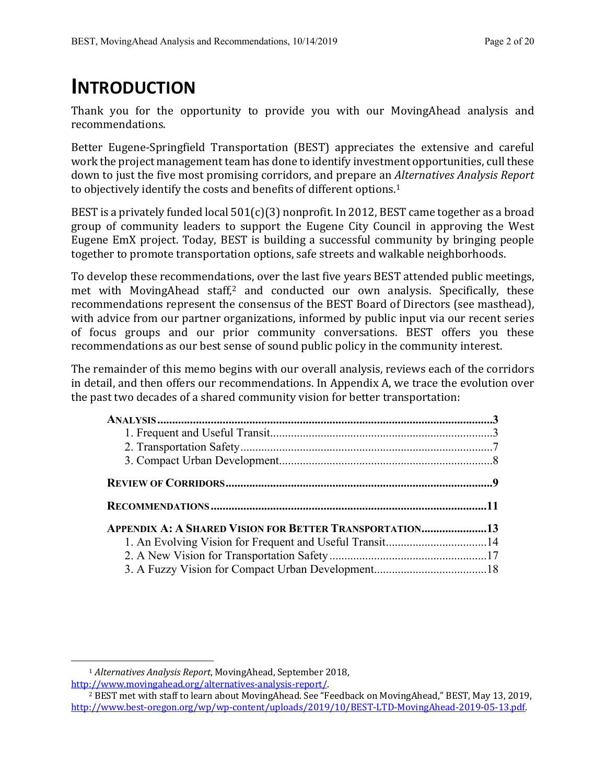# **INTRODUCTION**

Thank you for the opportunity to provide you with our MovingAhead analysis and recommendations.

Better Eugene-Springfield Transportation (BEST) appreciates the extensive and careful work the project management team has done to identify investment opportunities, cull these down to just the five most promising corridors, and prepare an *Alternatives Analysis Report* to objectively identify the costs and benefits of different options.<sup>1</sup>

BEST is a privately funded local  $501(c)(3)$  nonprofit. In 2012, BEST came together as a broad group of community leaders to support the Eugene City Council in approving the West Eugene EmX project. Today, BEST is building a successful community by bringing people together to promote transportation options, safe streets and walkable neighborhoods.

To develop these recommendations, over the last five years BEST attended public meetings, met with MovingAhead staff,<sup>2</sup> and conducted our own analysis. Specifically, these recommendations represent the consensus of the BEST Board of Directors (see masthead), with advice from our partner organizations, informed by public input via our recent series of focus groups and our prior community conversations. BEST offers you these recommendations as our best sense of sound public policy in the community interest.

The remainder of this memo begins with our overall analysis, reviews each of the corridors in detail, and then offers our recommendations. In Appendix A, we trace the evolution over the past two decades of a shared community vision for better transportation:

| <b>APPENDIX A: A SHARED VISION FOR BETTER TRANSPORTATION13</b> |  |
|----------------------------------------------------------------|--|
|                                                                |  |
|                                                                |  |

<sup>&</sup>lt;sup>1</sup> *Alternatives Analysis Report*, MovingAhead, September 2018,

http://www.movingahead.org/alternatives-analysis-report/.

 $2$  BEST met with staff to learn about MovingAhead. See "Feedback on MovingAhead," BEST, May 13, 2019, http://www.best-oregon.org/wp/wp-content/uploads/2019/10/BEST-LTD-MovingAhead-2019-05-13.pdf.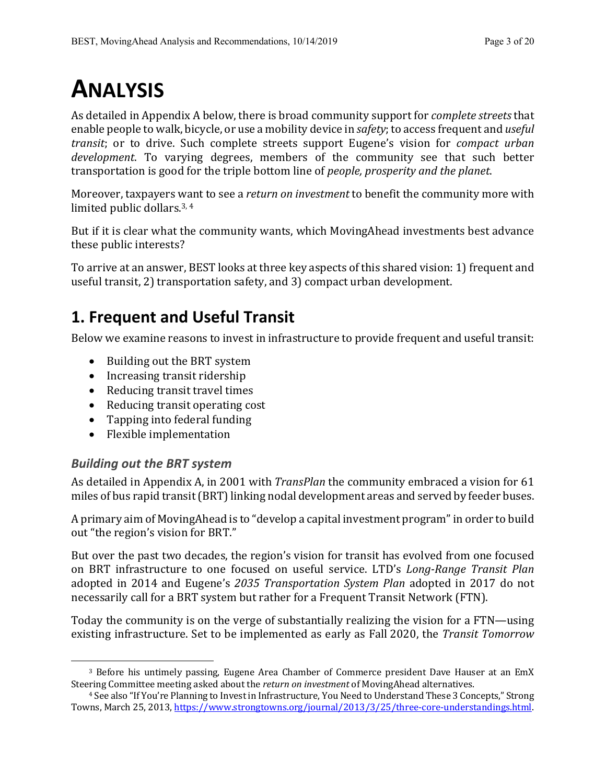# **ANALYSIS**

As detailed in Appendix A below, there is broad community support for *complete streets* that enable people to walk, bicycle, or use a mobility device in *safety*; to access frequent and *useful transit*; or to drive. Such complete streets support Eugene's vision for *compact urban development*. To varying degrees, members of the community see that such better transportation is good for the triple bottom line of *people, prosperity and the planet*.

Moreover, taxpayers want to see a *return on investment* to benefit the community more with limited public dollars. $3, 4$ 

But if it is clear what the community wants, which MovingAhead investments best advance these public interests?

To arrive at an answer, BEST looks at three key aspects of this shared vision: 1) frequent and useful transit, 2) transportation safety, and 3) compact urban development.

# **1. Frequent and Useful Transit**

Below we examine reasons to invest in infrastructure to provide frequent and useful transit:

- Building out the BRT system
- Increasing transit ridership
- Reducing transit travel times
- Reducing transit operating cost
- Tapping into federal funding
- Flexible implementation

# *Building out the BRT system*

As detailed in Appendix A, in 2001 with *TransPlan* the community embraced a vision for 61 miles of bus rapid transit (BRT) linking nodal development areas and served by feeder buses.

A primary aim of MovingAhead is to "develop a capital investment program" in order to build out "the region's vision for BRT."

But over the past two decades, the region's vision for transit has evolved from one focused on BRT infrastructure to one focused on useful service. LTD's *Long-Range Transit Plan* adopted in 2014 and Eugene's 2035 Transportation System Plan adopted in 2017 do not necessarily call for a BRT system but rather for a Frequent Transit Network (FTN).

Today the community is on the verge of substantially realizing the vision for a FTN—using existing infrastructure. Set to be implemented as early as Fall 2020, the *Transit Tomorrow* 

<sup>&</sup>lt;sup>3</sup> Before his untimely passing, Eugene Area Chamber of Commerce president Dave Hauser at an EmX Steering Committee meeting asked about the *return on investment* of MovingAhead alternatives.

<sup>&</sup>lt;sup>4</sup> See also "If You're Planning to Invest in Infrastructure, You Need to Understand These 3 Concepts," Strong Towns, March 25, 2013, https://www.strongtowns.org/journal/2013/3/25/three-core-understandings.html.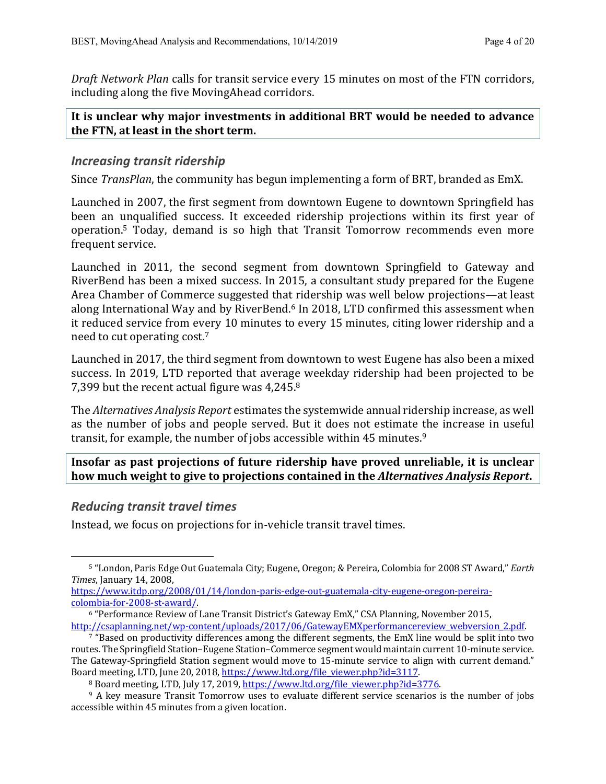*Draft Network Plan* calls for transit service every 15 minutes on most of the FTN corridors, including along the five MovingAhead corridors.

### It is unclear why major investments in additional BRT would be needed to advance **the FTN, at least in the short term.**

### *Increasing transit ridership*

Since *TransPlan*, the community has begun implementing a form of BRT, branded as EmX.

Launched in 2007, the first segment from downtown Eugene to downtown Springfield has been an unqualified success. It exceeded ridership projections within its first year of operation.<sup>5</sup> Today, demand is so high that Transit Tomorrow recommends even more frequent service.

Launched in 2011, the second segment from downtown Springfield to Gateway and RiverBend has been a mixed success. In 2015, a consultant study prepared for the Eugene Area Chamber of Commerce suggested that ridership was well below projections—at least along International Way and by RiverBend.<sup>6</sup> In 2018, LTD confirmed this assessment when it reduced service from every 10 minutes to every 15 minutes, citing lower ridership and a need to cut operating cost.<sup>7</sup>

Launched in 2017, the third segment from downtown to west Eugene has also been a mixed success. In 2019, LTD reported that average weekday ridership had been projected to be 7,399 but the recent actual figure was  $4,245.8$ 

The *Alternatives Analysis Report* estimates the systemwide annual ridership increase, as well as the number of jobs and people served. But it does not estimate the increase in useful transit, for example, the number of jobs accessible within 45 minutes. $^9$ 

**Insofar as past projections of future ridership have proved unreliable, it is unclear how much weight to give to projections contained in the** *Alternatives Analysis Report***.** 

### *Reducing transit travel times*

Instead, we focus on projections for in-vehicle transit travel times.

<sup>5 &</sup>quot;London, Paris Edge Out Guatemala City; Eugene, Oregon; & Pereira, Colombia for 2008 ST Award," *Earth Times*, January 14, 2008,

https://www.itdp.org/2008/01/14/london-paris-edge-out-guatemala-city-eugene-oregon-pereiracolombia-for-2008-st-award/.

 $6$  "Performance Review of Lane Transit District's Gateway EmX," CSA Planning, November 2015, http://csaplanning.net/wp-content/uploads/2017/06/GatewayEMXperformancereview\_webversion\_2.pdf.

 $7$  "Based on productivity differences among the different segments, the EmX line would be split into two routes. The Springfield Station–Eugene Station–Commerce segment would maintain current 10-minute service. The Gateway-Springfield Station segment would move to 15-minute service to align with current demand." Board meeting, LTD, June 20, 2018, https://www.ltd.org/file\_viewer.php?id=3117.

<sup>&</sup>lt;sup>8</sup> Board meeting, LTD, July 17, 2019, https://www.ltd.org/file\_viewer.php?id=3776.

 $9$  A key measure Transit Tomorrow uses to evaluate different service scenarios is the number of jobs accessible within 45 minutes from a given location.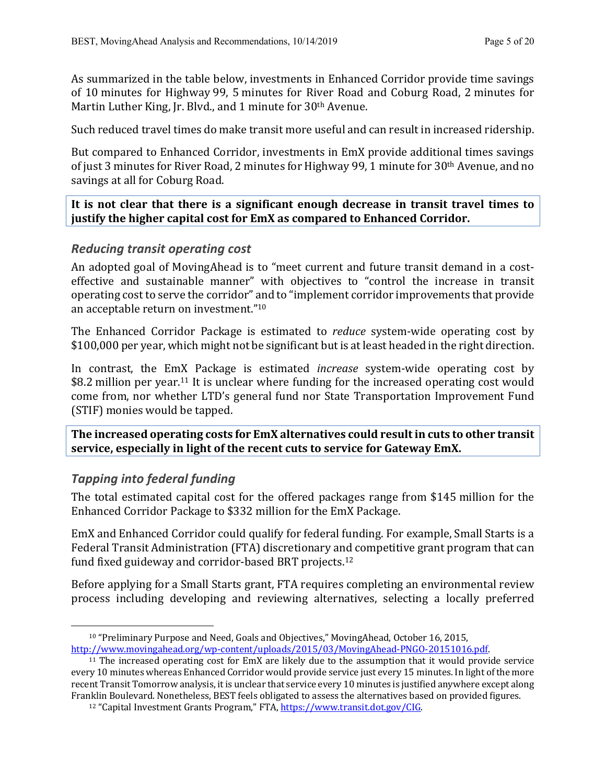As summarized in the table below, investments in Enhanced Corridor provide time savings of 10 minutes for Highway 99, 5 minutes for River Road and Coburg Road, 2 minutes for Martin Luther King, Jr. Blvd., and 1 minute for  $30<sup>th</sup>$  Avenue.

Such reduced travel times do make transit more useful and can result in increased ridership.

But compared to Enhanced Corridor, investments in EmX provide additional times savings of just 3 minutes for River Road, 2 minutes for Highway 99, 1 minute for 30<sup>th</sup> Avenue, and no savings at all for Coburg Road.

It is not clear that there is a significant enough decrease in transit travel times to justify the higher capital cost for EmX as compared to Enhanced Corridor.

## *Reducing transit operating cost*

An adopted goal of MovingAhead is to "meet current and future transit demand in a costeffective and sustainable manner" with objectives to "control the increase in transit operating cost to serve the corridor" and to "implement corridor improvements that provide an acceptable return on investment."<sup>10</sup>

The Enhanced Corridor Package is estimated to *reduce* system-wide operating cost by \$100,000 per year, which might not be significant but is at least headed in the right direction.

In contrast, the EmX Package is estimated *increase* system-wide operating cost by \$8.2 million per year.<sup>11</sup> It is unclear where funding for the increased operating cost would come from, nor whether LTD's general fund nor State Transportation Improvement Fund (STIF) monies would be tapped.

The increased operating costs for EmX alternatives could result in cuts to other transit **service, especially in light of the recent cuts to service for Gateway EmX.** 

## *Tapping into federal funding*

The total estimated capital cost for the offered packages range from \$145 million for the Enhanced Corridor Package to \$332 million for the EmX Package.

EmX and Enhanced Corridor could qualify for federal funding. For example, Small Starts is a Federal Transit Administration (FTA) discretionary and competitive grant program that can fund fixed guideway and corridor-based BRT projects.<sup>12</sup>

Before applying for a Small Starts grant, FTA requires completing an environmental review process including developing and reviewing alternatives, selecting a locally preferred

 $10$  "Preliminary Purpose and Need, Goals and Objectives," MovingAhead, October 16, 2015, http://www.movingahead.org/wp-content/uploads/2015/03/MovingAhead-PNGO-20151016.pdf.

 $11$  The increased operating cost for EmX are likely due to the assumption that it would provide service every 10 minutes whereas Enhanced Corridor would provide service just every 15 minutes. In light of the more recent Transit Tomorrow analysis, it is unclear that service every 10 minutes is justified anywhere except along Franklin Boulevard. Nonetheless, BEST feels obligated to assess the alternatives based on provided figures.

<sup>&</sup>lt;sup>12</sup> "Capital Investment Grants Program," FTA, https://www.transit.dot.gov/CIG.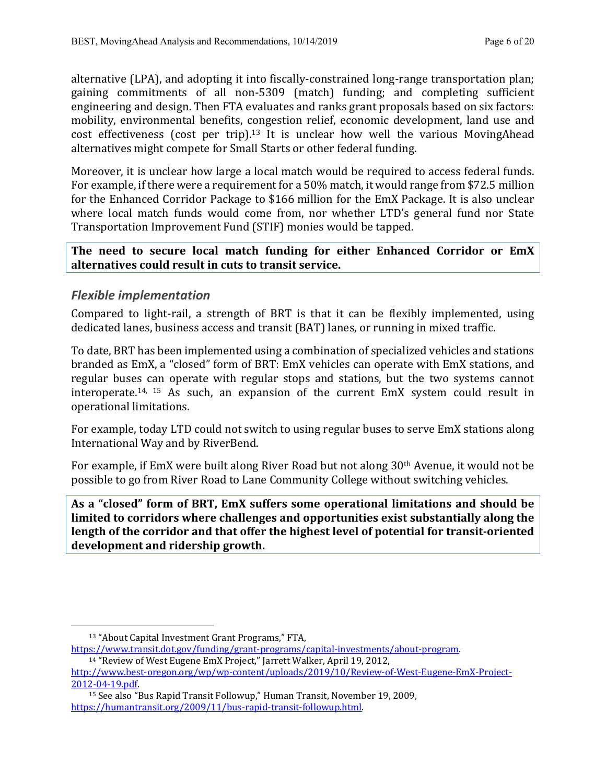alternative (LPA), and adopting it into fiscally-constrained long-range transportation plan; gaining commitments of all non-5309 (match) funding; and completing sufficient engineering and design. Then FTA evaluates and ranks grant proposals based on six factors: mobility, environmental benefits, congestion relief, economic development, land use and cost effectiveness (cost per trip).<sup>13</sup> It is unclear how well the various MovingAhead alternatives might compete for Small Starts or other federal funding.

Moreover, it is unclear how large a local match would be required to access federal funds. For example, if there were a requirement for a 50% match, it would range from \$72.5 million for the Enhanced Corridor Package to \$166 million for the EmX Package. It is also unclear where local match funds would come from, nor whether LTD's general fund nor State Transportation Improvement Fund (STIF) monies would be tapped.

The need to secure local match funding for either Enhanced Corridor or EmX **alternatives could result in cuts to transit service.**

## *Flexible implementation*

Compared to light-rail, a strength of BRT is that it can be flexibly implemented, using dedicated lanes, business access and transit (BAT) lanes, or running in mixed traffic.

To date, BRT has been implemented using a combination of specialized vehicles and stations branded as EmX, a "closed" form of BRT: EmX vehicles can operate with EmX stations, and regular buses can operate with regular stops and stations, but the two systems cannot interoperate.<sup>14, 15</sup> As such, an expansion of the current  $EmX$  system could result in operational limitations.

For example, today LTD could not switch to using regular buses to serve EmX stations along International Way and by RiverBend.

For example, if EmX were built along River Road but not along  $30<sup>th</sup>$  Avenue, it would not be possible to go from River Road to Lane Community College without switching vehicles.

As a "closed" form of BRT, EmX suffers some operational limitations and should be limited to corridors where challenges and opportunities exist substantially along the length of the corridor and that offer the highest level of potential for transit-oriented development and ridership growth.

<sup>&</sup>lt;sup>13</sup> "About Capital Investment Grant Programs," FTA,

https://www.transit.dot.gov/funding/grant-programs/capital-investments/about-program.

<sup>&</sup>lt;sup>14</sup> "Review of West Eugene EmX Project," Jarrett Walker, April 19, 2012, http://www.best-oregon.org/wp/wp-content/uploads/2019/10/Review-of-West-Eugene-EmX-Project-2012-04-19.pdf.

<sup>&</sup>lt;sup>15</sup> See also "Bus Rapid Transit Followup," Human Transit, November 19, 2009, https://humantransit.org/2009/11/bus-rapid-transit-followup.html.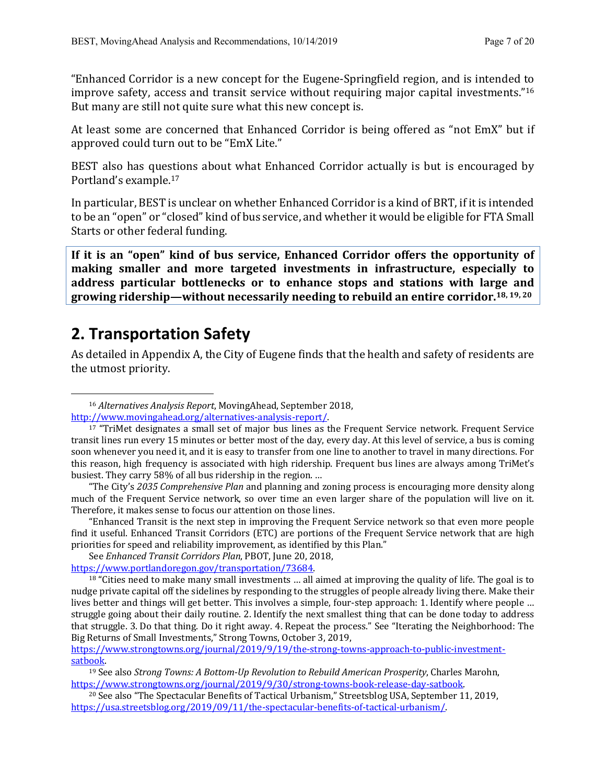"Enhanced Corridor is a new concept for the Eugene-Springfield region, and is intended to improve safety, access and transit service without requiring major capital investments."<sup>16</sup> But many are still not quite sure what this new concept is.

At least some are concerned that Enhanced Corridor is being offered as "not EmX" but if approved could turn out to be "EmX Lite."

BEST also has questions about what Enhanced Corridor actually is but is encouraged by Portland's example.<sup>17</sup>

In particular, BEST is unclear on whether Enhanced Corridor is a kind of BRT, if it is intended to be an "open" or "closed" kind of bus service, and whether it would be eligible for FTA Small Starts or other federal funding.

If it is an "open" kind of bus service, Enhanced Corridor offers the opportunity of making smaller and more targeted investments in infrastructure, especially to address particular bottlenecks or to enhance stops and stations with large and growing ridership—without necessarily needing to rebuild an entire corridor.<sup>18, 19, 20</sup>

# **2. Transportation Safety**

As detailed in Appendix A, the City of Eugene finds that the health and safety of residents are the utmost priority.

<sup>&</sup>lt;sup>16</sup> Alternatives Analysis Report, MovingAhead, September 2018, http://www.movingahead.org/alternatives-analysis-report/.

 $17$  "TriMet designates a small set of major bus lines as the Frequent Service network. Frequent Service transit lines run every 15 minutes or better most of the day, every day. At this level of service, a bus is coming soon whenever you need it, and it is easy to transfer from one line to another to travel in many directions. For this reason, high frequency is associated with high ridership. Frequent bus lines are always among TriMet's busiest. They carry 58% of all bus ridership in the region. ...

<sup>&</sup>quot;The City's 2035 *Comprehensive Plan* and planning and zoning process is encouraging more density along much of the Frequent Service network, so over time an even larger share of the population will live on it. Therefore, it makes sense to focus our attention on those lines.

<sup>&</sup>quot;Enhanced Transit is the next step in improving the Frequent Service network so that even more people find it useful. Enhanced Transit Corridors (ETC) are portions of the Frequent Service network that are high priorities for speed and reliability improvement, as identified by this Plan."

See *Enhanced Transit Corridors Plan*, PBOT, June 20, 2018,

https://www.portlandoregon.gov/transportation/73684.

 $18$  "Cities need to make many small investments ... all aimed at improving the quality of life. The goal is to nudge private capital off the sidelines by responding to the struggles of people already living there. Make their lives better and things will get better. This involves a simple, four-step approach: 1. Identify where people ... struggle going about their daily routine. 2. Identify the next smallest thing that can be done today to address that struggle. 3. Do that thing. Do it right away. 4. Repeat the process." See "Iterating the Neighborhood: The Big Returns of Small Investments," Strong Towns, October 3, 2019,

https://www.strongtowns.org/journal/2019/9/19/the-strong-towns-approach-to-public-investmentsatbook.

<sup>&</sup>lt;sup>19</sup> See also *Strong Towns: A Bottom-Up Revolution to Rebuild American Prosperity, Charles Marohn,* https://www.strongtowns.org/journal/2019/9/30/strong-towns-book-release-day-satbook.

<sup>&</sup>lt;sup>20</sup> See also "The Spectacular Benefits of Tactical Urbanism," Streetsblog USA, September 11, 2019, https://usa.streetsblog.org/2019/09/11/the-spectacular-benefits-of-tactical-urbanism/.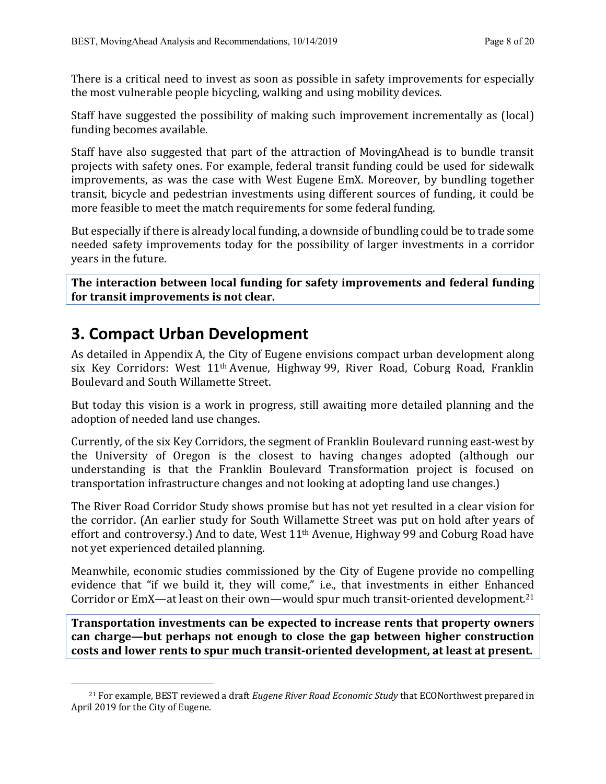There is a critical need to invest as soon as possible in safety improvements for especially the most vulnerable people bicycling, walking and using mobility devices.

Staff have suggested the possibility of making such improvement incrementally as (local) funding becomes available.

Staff have also suggested that part of the attraction of MovingAhead is to bundle transit projects with safety ones. For example, federal transit funding could be used for sidewalk improvements, as was the case with West Eugene EmX. Moreover, by bundling together transit, bicycle and pedestrian investments using different sources of funding, it could be more feasible to meet the match requirements for some federal funding.

But especially if there is already local funding, a downside of bundling could be to trade some needed safety improvements today for the possibility of larger investments in a corridor years in the future.

The interaction between local funding for safety improvements and federal funding for transit improvements is not clear.

# **3. Compact Urban Development**

As detailed in Appendix A, the City of Eugene envisions compact urban development along six Key Corridors: West  $11<sup>th</sup>$  Avenue, Highway 99, River Road, Coburg Road, Franklin Boulevard and South Willamette Street.

But today this vision is a work in progress, still awaiting more detailed planning and the adoption of needed land use changes.

Currently, of the six Key Corridors, the segment of Franklin Boulevard running east-west by the University of Oregon is the closest to having changes adopted (although our understanding is that the Franklin Boulevard Transformation project is focused on transportation infrastructure changes and not looking at adopting land use changes.)

The River Road Corridor Study shows promise but has not yet resulted in a clear vision for the corridor. (An earlier study for South Willamette Street was put on hold after years of effort and controversy.) And to date, West  $11<sup>th</sup>$  Avenue, Highway 99 and Coburg Road have not yet experienced detailed planning.

Meanwhile, economic studies commissioned by the City of Eugene provide no compelling evidence that "if we build it, they will come," i.e., that investments in either Enhanced Corridor or EmX—at least on their own—would spur much transit-oriented development.<sup>21</sup>

**Transportation investments can be expected to increase rents that property owners** can charge—but perhaps not enough to close the gap between higher construction costs and lower rents to spur much transit-oriented development, at least at present.

<sup>&</sup>lt;sup>21</sup> For example, BEST reviewed a draft *Eugene River Road Economic Study* that ECONorthwest prepared in April 2019 for the City of Eugene.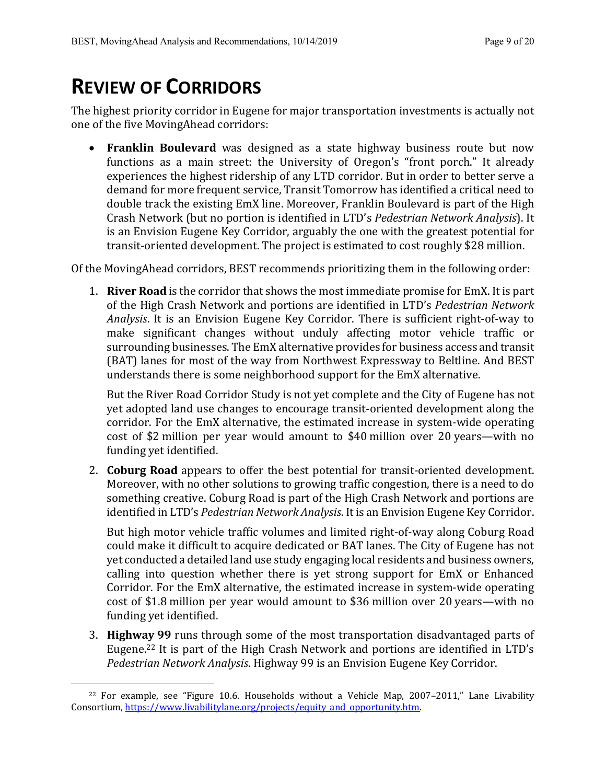# **REVIEW OF CORRIDORS**

The highest priority corridor in Eugene for major transportation investments is actually not one of the five MovingAhead corridors:

• **Franklin Boulevard** was designed as a state highway business route but now functions as a main street: the University of Oregon's "front porch." It already experiences the highest ridership of any LTD corridor. But in order to better serve a demand for more frequent service, Transit Tomorrow has identified a critical need to double track the existing EmX line. Moreover, Franklin Boulevard is part of the High Crash Network (but no portion is identified in LTD's Pedestrian Network Analysis). It is an Envision Eugene Key Corridor, arguably the one with the greatest potential for transit-oriented development. The project is estimated to cost roughly \$28 million.

Of the MovingAhead corridors, BEST recommends prioritizing them in the following order:

1. **River Road** is the corridor that shows the most immediate promise for EmX. It is part of the High Crash Network and portions are identified in LTD's *Pedestrian Network Analysis*. It is an Envision Eugene Key Corridor. There is sufficient right-of-way to make significant changes without unduly affecting motor vehicle traffic or surrounding businesses. The EmX alternative provides for business access and transit (BAT) lanes for most of the way from Northwest Expressway to Beltline. And BEST understands there is some neighborhood support for the EmX alternative.

But the River Road Corridor Study is not yet complete and the City of Eugene has not yet adopted land use changes to encourage transit-oriented development along the corridor. For the EmX alternative, the estimated increase in system-wide operating cost of \$2 million per year would amount to \$40 million over 20 years—with no funding yet identified.

2. **Coburg Road** appears to offer the best potential for transit-oriented development. Moreover, with no other solutions to growing traffic congestion, there is a need to do something creative. Coburg Road is part of the High Crash Network and portions are identified in LTD's *Pedestrian Network Analysis*. It is an Envision Eugene Key Corridor.

But high motor vehicle traffic volumes and limited right-of-way along Coburg Road could make it difficult to acquire dedicated or BAT lanes. The City of Eugene has not yet conducted a detailed land use study engaging local residents and business owners, calling into question whether there is yet strong support for EmX or Enhanced Corridor. For the EmX alternative, the estimated increase in system-wide operating cost of \$1.8 million per year would amount to \$36 million over 20 years—with no funding yet identified.

3. **Highway 99** runs through some of the most transportation disadvantaged parts of Eugene.<sup>22</sup> It is part of the High Crash Network and portions are identified in LTD's Pedestrian Network Analysis. Highway 99 is an Envision Eugene Key Corridor.

<sup>&</sup>lt;sup>22</sup> For example, see "Figure 10.6. Households without a Vehicle Map,  $2007-2011$ ," Lane Livability Consortium, https://www.livabilitylane.org/projects/equity\_and\_opportunity.htm.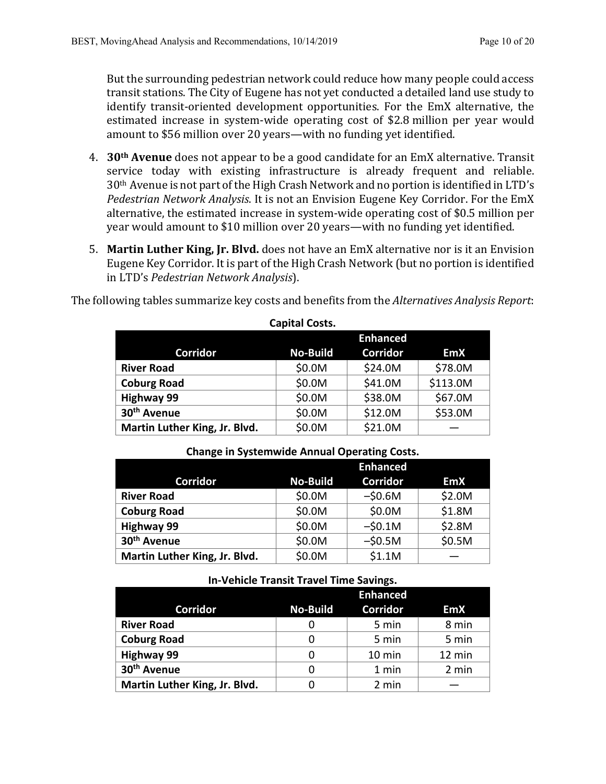But the surrounding pedestrian network could reduce how many people could access transit stations. The City of Eugene has not yet conducted a detailed land use study to identify transit-oriented development opportunities. For the EmX alternative, the estimated increase in system-wide operating cost of \$2.8 million per year would amount to \$56 million over 20 years—with no funding yet identified.

- 4. **30<sup>th</sup> Avenue** does not appear to be a good candidate for an EmX alternative. Transit service today with existing infrastructure is already frequent and reliable.  $30<sup>th</sup>$  Avenue is not part of the High Crash Network and no portion is identified in LTD's *Pedestrian Network Analysis.* It is not an Envision Eugene Key Corridor. For the EmX alternative, the estimated increase in system-wide operating cost of \$0.5 million per year would amount to \$10 million over 20 years—with no funding yet identified.
- 5. Martin Luther King, Jr. Blvd. does not have an EmX alternative nor is it an Envision Eugene Key Corridor. It is part of the High Crash Network (but no portion is identified in LTD's *Pedestrian Network Analysis*).

The following tables summarize key costs and benefits from the *Alternatives Analysis Report*:

|                               |                 | <b>Enhanced</b> |            |
|-------------------------------|-----------------|-----------------|------------|
| <b>Corridor</b>               | <b>No-Build</b> | <b>Corridor</b> | <b>EmX</b> |
| <b>River Road</b>             | \$0.0M          | \$24.0M         | \$78.0M    |
| <b>Coburg Road</b>            | \$0.0M          | \$41.0M         | \$113.0M   |
| <b>Highway 99</b>             | \$0.0M          | \$38.0M         | \$67.0M    |
| 30 <sup>th</sup> Avenue       | \$0.0M          | \$12.0M         | \$53.0M    |
| Martin Luther King, Jr. Blvd. | \$0.0M          | \$21.0M         |            |

#### **Capital Costs.**

#### **Change in Systemwide Annual Operating Costs.**

|                               |                 | <b>Enhanced</b> |            |
|-------------------------------|-----------------|-----------------|------------|
| <b>Corridor</b>               | <b>No-Build</b> | <b>Corridor</b> | <b>EmX</b> |
| <b>River Road</b>             | \$0.0M          | $-50.6M$        | \$2.0M     |
| <b>Coburg Road</b>            | \$0.0M          | \$0.0M          | \$1.8M     |
| <b>Highway 99</b>             | \$0.0M          | $-50.1M$        | \$2.8M     |
| 30 <sup>th</sup> Avenue       | \$0.0M          | $-50.5M$        | \$0.5M     |
| Martin Luther King, Jr. Blvd. | \$0.0M          | \$1.1M          |            |

| $111 - 8$ chicle thansit thave thine savings. |                 |                  |            |  |
|-----------------------------------------------|-----------------|------------------|------------|--|
|                                               | <b>Enhanced</b> |                  |            |  |
| <b>Corridor</b>                               | <b>No-Build</b> | <b>Corridor</b>  | <b>EmX</b> |  |
| <b>River Road</b>                             |                 | 5 min            | 8 min      |  |
| <b>Coburg Road</b>                            |                 | 5 min            | 5 min      |  |
| <b>Highway 99</b>                             |                 | $10 \text{ min}$ | 12 min     |  |
| 30 <sup>th</sup> Avenue                       |                 | 1 min            | 2 min      |  |
| Martin Luther King, Jr. Blvd.                 |                 | 2 min            |            |  |

### **In-Vehicle Transit Travel Time Savings.**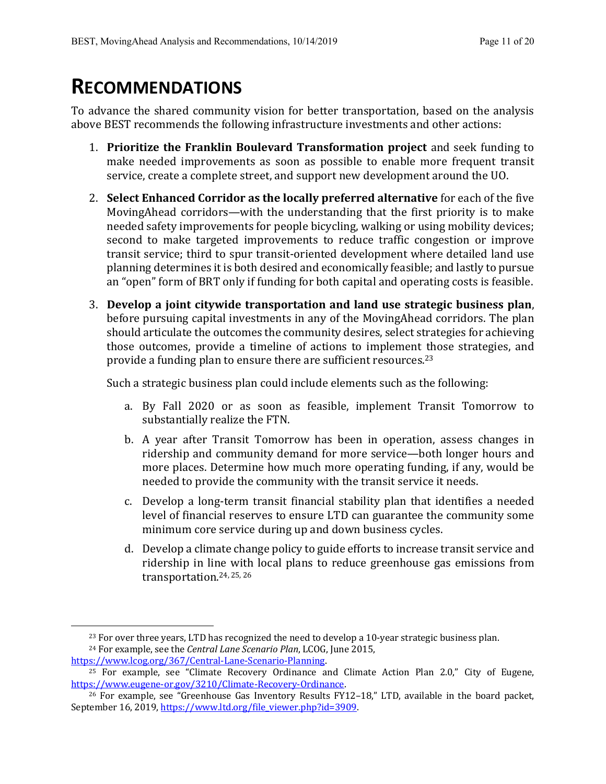# **RECOMMENDATIONS**

To advance the shared community vision for better transportation, based on the analysis above BEST recommends the following infrastructure investments and other actions:

- 1. **Prioritize the Franklin Boulevard Transformation project** and seek funding to make needed improvements as soon as possible to enable more frequent transit service, create a complete street, and support new development around the UO.
- 2. **Select Enhanced Corridor as the locally preferred alternative** for each of the five MovingAhead corridors—with the understanding that the first priority is to make needed safety improvements for people bicycling, walking or using mobility devices; second to make targeted improvements to reduce traffic congestion or improve transit service; third to spur transit-oriented development where detailed land use planning determines it is both desired and economically feasible; and lastly to pursue an "open" form of BRT only if funding for both capital and operating costs is feasible.
- 3. Develop a joint citywide transportation and land use strategic business plan, before pursuing capital investments in any of the MovingAhead corridors. The plan should articulate the outcomes the community desires, select strategies for achieving those outcomes, provide a timeline of actions to implement those strategies, and provide a funding plan to ensure there are sufficient resources.<sup>23</sup>

Such a strategic business plan could include elements such as the following:

- a. By Fall 2020 or as soon as feasible, implement Transit Tomorrow to substantially realize the FTN.
- b. A year after Transit Tomorrow has been in operation, assess changes in ridership and community demand for more service—both longer hours and more places. Determine how much more operating funding, if any, would be needed to provide the community with the transit service it needs.
- c. Develop a long-term transit financial stability plan that identifies a needed level of financial reserves to ensure LTD can guarantee the community some minimum core service during up and down business cycles.
- d. Develop a climate change policy to guide efforts to increase transit service and ridership in line with local plans to reduce greenhouse gas emissions from transportation.<sup>24, 25, 26</sup>

```
https://www.lcog.org/367/Central-Lane-Scenario-Planning.
```
 $23$  For over three years, LTD has recognized the need to develop a 10-year strategic business plan. <sup>24</sup> For example, see the *Central Lane Scenario Plan*, LCOG, June 2015,

<sup>&</sup>lt;sup>25</sup> For example, see "Climate Recovery Ordinance and Climate Action Plan 2.0," City of Eugene, https://www.eugene-or.gov/3210/Climate-Recovery-Ordinance.

 $\frac{26}{26}$  For example, see "Greenhouse Gas Inventory Results FY12–18," LTD, available in the board packet, September 16, 2019, https://www.ltd.org/file\_viewer.php?id=3909.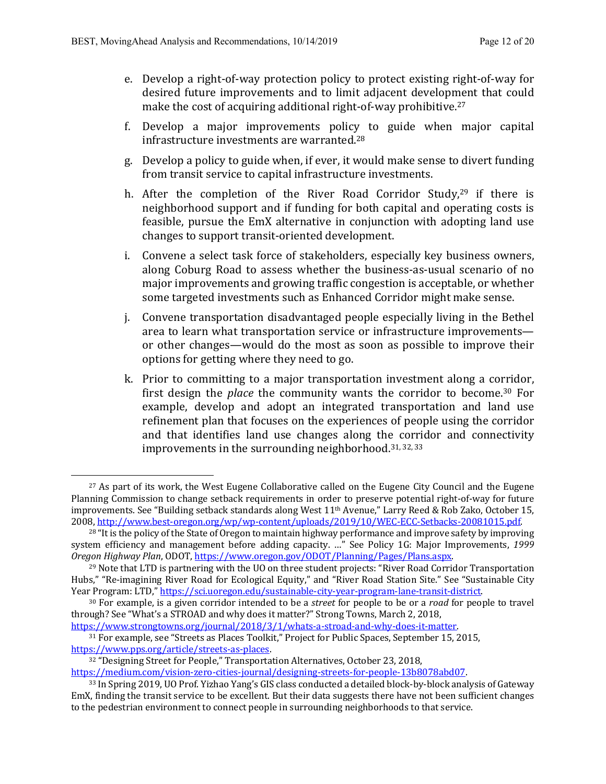- e. Develop a right-of-way protection policy to protect existing right-of-way for desired future improvements and to limit adjacent development that could make the cost of acquiring additional right-of-way prohibitive.<sup>27</sup>
- f. Develop a major improvements policy to guide when major capital infrastructure investments are warranted. $^{28}$
- g. Develop a policy to guide when, if ever, it would make sense to divert funding from transit service to capital infrastructure investments.
- h. After the completion of the River Road Corridor Study, $29$  if there is neighborhood support and if funding for both capital and operating costs is feasible, pursue the EmX alternative in conjunction with adopting land use changes to support transit-oriented development.
- i. Convene a select task force of stakeholders, especially key business owners, along Coburg Road to assess whether the business-as-usual scenario of no major improvements and growing traffic congestion is acceptable, or whether some targeted investments such as Enhanced Corridor might make sense.
- j. Convene transportation disadvantaged people especially living in the Bethel area to learn what transportation service or infrastructure improvements or other changes—would do the most as soon as possible to improve their options for getting where they need to go.
- k. Prior to committing to a major transportation investment along a corridor, first design the *place* the community wants the corridor to become.<sup>30</sup> For example, develop and adopt an integrated transportation and land use refinement plan that focuses on the experiences of people using the corridor and that identifies land use changes along the corridor and connectivity improvements in the surrounding neighborhood.<sup>31, 32, 33</sup>

https://www.strongtowns.org/journal/2018/3/1/whats-a-stroad-and-why-does-it-matter.

 $27$  As part of its work, the West Eugene Collaborative called on the Eugene City Council and the Eugene Planning Commission to change setback requirements in order to preserve potential right-of-way for future improvements. See "Building setback standards along West 11<sup>th</sup> Avenue," Larry Reed & Rob Zako, October 15, 2008, http://www.best-oregon.org/wp/wp-content/uploads/2019/10/WEC-ECC-Setbacks-20081015.pdf.

<sup>&</sup>lt;sup>28</sup> "It is the policy of the State of Oregon to maintain highway performance and improve safety by improving system efficiency and management before adding capacity. ..." See Policy 1G: Major Improvements, 1999 *Oregon Highway Plan*, ODOT, https://www.oregon.gov/ODOT/Planning/Pages/Plans.aspx.

<sup>&</sup>lt;sup>29</sup> Note that LTD is partnering with the UO on three student projects: "River Road Corridor Transportation Hubs," "Re-imagining River Road for Ecological Equity," and "River Road Station Site." See "Sustainable City Year Program: LTD," https://sci.uoregon.edu/sustainable-city-year-program-lane-transit-district.

<sup>&</sup>lt;sup>30</sup> For example, is a given corridor intended to be a *street* for people to be or a *road* for people to travel through? See "What's a STROAD and why does it matter?" Strong Towns, March 2, 2018,

<sup>&</sup>lt;sup>31</sup> For example, see "Streets as Places Toolkit," Project for Public Spaces, September 15, 2015, https://www.pps.org/article/streets-as-places.

<sup>&</sup>lt;sup>32</sup> "Designing Street for People," Transportation Alternatives, October 23, 2018,

https://medium.com/vision-zero-cities-journal/designing-streets-for-people-13b8078abd07.

<sup>&</sup>lt;sup>33</sup> In Spring 2019, UO Prof. Yizhao Yang's GIS class conducted a detailed block-by-block analysis of Gateway EmX, finding the transit service to be excellent. But their data suggests there have not been sufficient changes to the pedestrian environment to connect people in surrounding neighborhoods to that service.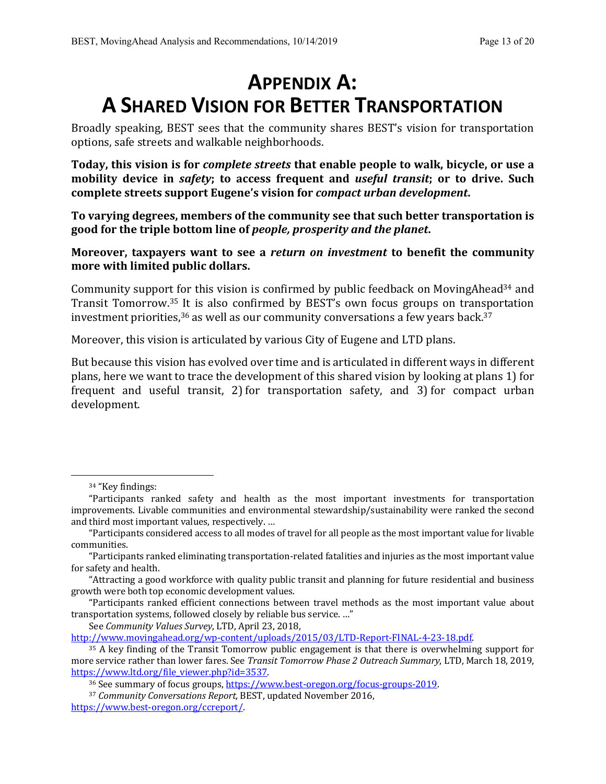# **APPENDIX A: A SHARED VISION FOR BETTER TRANSPORTATION**

Broadly speaking, BEST sees that the community shares BEST's vision for transportation options, safe streets and walkable neighborhoods.

**Today, this vision is for** *complete streets* **that enable people to walk, bicycle, or use a mobility** device in *safety*; to access frequent and *useful transit*; or to drive. Such complete streets support Eugene's vision for *compact urban development*.

To varying degrees, members of the community see that such better transportation is good for the triple bottom line of *people*, *prosperity* and the planet.

**Moreover, taxpayers want to see a** *return on investment* **to benefit the community** more with limited public dollars.

Community support for this vision is confirmed by public feedback on MovingAhead<sup>34</sup> and Transit Tomorrow.<sup>35</sup> It is also confirmed by BEST's own focus groups on transportation investment priorities,  $36$  as well as our community conversations a few years back.  $37$ 

Moreover, this vision is articulated by various City of Eugene and LTD plans.

But because this vision has evolved over time and is articulated in different ways in different plans, here we want to trace the development of this shared vision by looking at plans 1) for frequent and useful transit, 2) for transportation safety, and 3) for compact urban development.

See *Community Values Survey*, LTD, April 23, 2018,

http://www.movingahead.org/wp-content/uploads/2015/03/LTD-Report-FINAL-4-23-18.pdf.

<sup>&</sup>lt;sup>34</sup> "Key findings:

<sup>&</sup>quot;Participants ranked safety and health as the most important investments for transportation improvements. Livable communities and environmental stewardship/sustainability were ranked the second and third most important values, respectively. ...

<sup>&</sup>quot;Participants considered access to all modes of travel for all people as the most important value for livable communities.

<sup>&</sup>quot;Participants ranked eliminating transportation-related fatalities and injuries as the most important value for safety and health.

<sup>&</sup>quot;Attracting a good workforce with quality public transit and planning for future residential and business growth were both top economic development values.

<sup>&</sup>quot;Participants ranked efficient connections between travel methods as the most important value about transportation systems, followed closely by reliable bus service. ..."

 $35$  A key finding of the Transit Tomorrow public engagement is that there is overwhelming support for more service rather than lower fares. See *Transit Tomorrow Phase 2 Outreach Summary*, LTD, March 18, 2019, https://www.ltd.org/file\_viewer.php?id=3537.

<sup>&</sup>lt;sup>36</sup> See summary of focus groups, https://www.best-oregon.org/focus-groups-2019.

<sup>&</sup>lt;sup>37</sup> Community Conversations Report, BEST, updated November 2016,

https://www.best-oregon.org/ccreport/.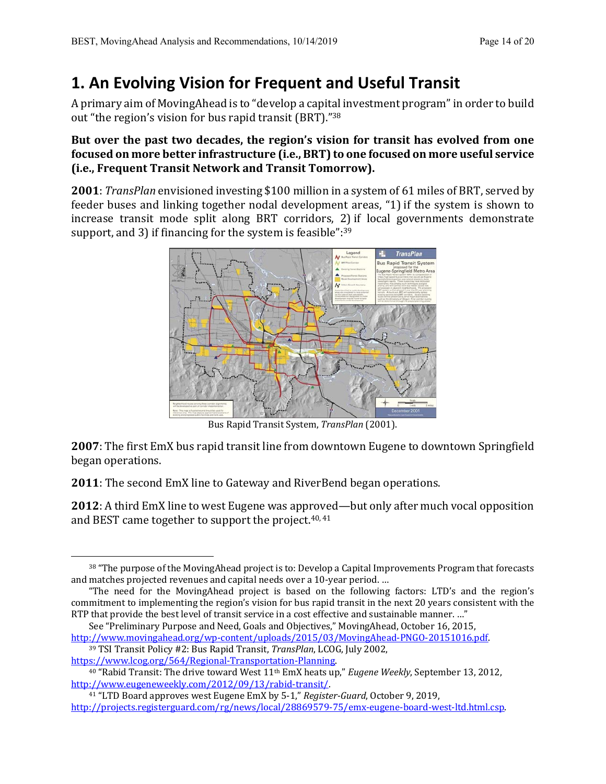# **1. An Evolving Vision for Frequent and Useful Transit**

A primary aim of MovingAhead is to "develop a capital investment program" in order to build out "the region's vision for bus rapid transit (BRT)."38

## But over the past two decades, the region's vision for transit has evolved from one focused on more better infrastructure (i.e., BRT) to one focused on more useful service **(i.e., Frequent Transit Network and Transit Tomorrow).**

**2001**: *TransPlan* envisioned investing \$100 million in a system of 61 miles of BRT, served by feeder buses and linking together nodal development areas, "1) if the system is shown to increase transit mode split along BRT corridors, 2) if local governments demonstrate support, and 3) if financing for the system is feasible": $39$ 



Bus Rapid Transit System, *TransPlan* (2001).

**2007**: The first EmX bus rapid transit line from downtown Eugene to downtown Springfield began operations.

**2011**: The second EmX line to Gateway and RiverBend began operations.

**2012**: A third EmX line to west Eugene was approved—but only after much vocal opposition and BEST came together to support the project. $40, 41$ 

<sup>39</sup> TSI Transit Policy #2: Bus Rapid Transit, *TransPlan*, LCOG, July 2002, https://www.lcog.org/564/Regional-Transportation-Planning.

<sup>41</sup> "LTD Board approves west Eugene EmX by 5-1," *Register-Guard*, October 9, 2019, http://projects.registerguard.com/rg/news/local/28869579-75/emx-eugene-board-west-ltd.html.csp.

<sup>38 &</sup>quot;The purpose of the MovingAhead project is to: Develop a Capital Improvements Program that forecasts and matches projected revenues and capital needs over a 10-year period. ...

<sup>&</sup>quot;The need for the MovingAhead project is based on the following factors: LTD's and the region's commitment to implementing the region's vision for bus rapid transit in the next 20 years consistent with the RTP that provide the best level of transit service in a cost effective and sustainable manner. ..."

See "Preliminary Purpose and Need, Goals and Objectives," MovingAhead, October 16, 2015, http://www.movingahead.org/wp-content/uploads/2015/03/MovingAhead-PNGO-20151016.pdf.

<sup>&</sup>lt;sup>40</sup> "Rabid Transit: The drive toward West 11<sup>th</sup> EmX heats up," *Eugene Weekly*, September 13, 2012, http://www.eugeneweekly.com/2012/09/13/rabid-transit/.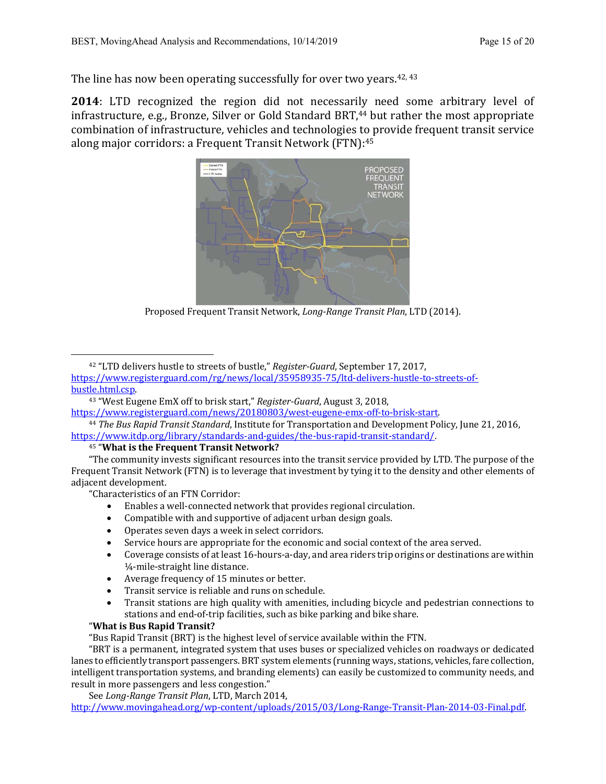The line has now been operating successfully for over two years.  $42, 43$ 

**2014**: LTD recognized the region did not necessarily need some arbitrary level of infrastructure, e.g., Bronze, Silver or Gold Standard BRT, $44$  but rather the most appropriate combination of infrastructure, vehicles and technologies to provide frequent transit service along major corridors: a Frequent Transit Network  $(FTN)$ :<sup>45</sup>



Proposed Frequent Transit Network, *Long-Range Transit Plan*, LTD (2014).

<sup>42</sup> "LTD delivers hustle to streets of bustle," *Register-Guard*, September 17, 2017, https://www.registerguard.com/rg/news/local/35958935-75/ltd-delivers-hustle-to-streets-ofbustle.html.csp.

https://www.registerguard.com/news/20180803/west-eugene-emx-off-to-brisk-start.

```
<sup>44</sup> The Bus Rapid Transit Standard, Institute for Transportation and Development Policy, June 21, 2016,
https://www.itdp.org/library/standards-and-guides/the-bus-rapid-transit-standard/.
```
<sup>45</sup> "What is the Frequent Transit Network?

"The community invests significant resources into the transit service provided by LTD. The purpose of the Frequent Transit Network (FTN) is to leverage that investment by tying it to the density and other elements of adjacent development.

"Characteristics of an FTN Corridor:

- Enables a well-connected network that provides regional circulation.
- Compatible with and supportive of adjacent urban design goals.
- Operates seven days a week in select corridors.
- Service hours are appropriate for the economic and social context of the area served.
- Coverage consists of at least 16-hours-a-day, and area riders trip origins or destinations are within 1/<sub>4</sub>-mile-straight line distance.
- Average frequency of 15 minutes or better.
- Transit service is reliable and runs on schedule.
- Transit stations are high quality with amenities, including bicycle and pedestrian connections to stations and end-of-trip facilities, such as bike parking and bike share.

#### "What is Bus Rapid Transit?

"Bus Rapid Transit (BRT) is the highest level of service available within the FTN.

"BRT is a permanent, integrated system that uses buses or specialized vehicles on roadways or dedicated lanes to efficiently transport passengers. BRT system elements (running ways, stations, vehicles, fare collection, intelligent transportation systems, and branding elements) can easily be customized to community needs, and result in more passengers and less congestion."

See *Long-Range Transit Plan*, LTD, March 2014,

http://www.movingahead.org/wp-content/uploads/2015/03/Long-Range-Transit-Plan-2014-03-Final.pdf.

<sup>&</sup>lt;sup>43</sup> "West Eugene EmX off to brisk start," *Register-Guard*, August 3, 2018,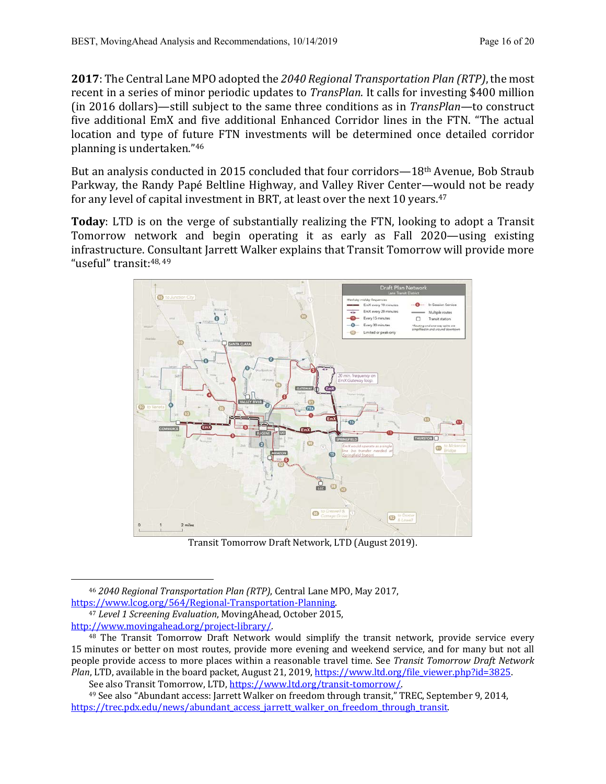**2017**: The Central Lane MPO adopted the 2040 Regional Transportation Plan (RTP), the most recent in a series of minor periodic updates to *TransPlan*. It calls for investing \$400 million (in 2016 dollars)—still subject to the same three conditions as in *TransPlan*—to construct five additional EmX and five additional Enhanced Corridor lines in the FTN. "The actual location and type of future FTN investments will be determined once detailed corridor planning is undertaken."46

But an analysis conducted in 2015 concluded that four corridors— $18<sup>th</sup>$  Avenue, Bob Straub Parkway, the Randy Papé Beltline Highway, and Valley River Center—would not be ready for any level of capital investment in BRT, at least over the next 10 years. $47$ 

**Today**: LTD is on the verge of substantially realizing the FTN, looking to adopt a Transit Tomorrow network and begin operating it as early as Fall 2020—using existing infrastructure. Consultant Jarrett Walker explains that Transit Tomorrow will provide more "useful" transit: 48, 49



Transit Tomorrow Draft Network, LTD (August 2019).

See also Transit Tomorrow, LTD, https://www.ltd.org/transit-tomorrow/.

<sup>&</sup>lt;sup>46</sup> 2040 Regional Transportation Plan (RTP), Central Lane MPO, May 2017, https://www.lcog.org/564/Regional-Transportation-Planning.

<sup>&</sup>lt;sup>47</sup> Level 1 Screening Evaluation, MovingAhead, October 2015, http://www.movingahead.org/project-library/.

 $48$  The Transit Tomorrow Draft Network would simplify the transit network, provide service every 15 minutes or better on most routes, provide more evening and weekend service, and for many but not all people provide access to more places within a reasonable travel time. See *Transit Tomorrow Draft Network Plan*, LTD, available in the board packet, August 21, 2019, https://www.ltd.org/file\_viewer.php?id=3825.

<sup>&</sup>lt;sup>49</sup> See also "Abundant access: Jarrett Walker on freedom through transit," TREC, September 9, 2014, https://trec.pdx.edu/news/abundant\_access\_jarrett\_walker\_on\_freedom\_through\_transit.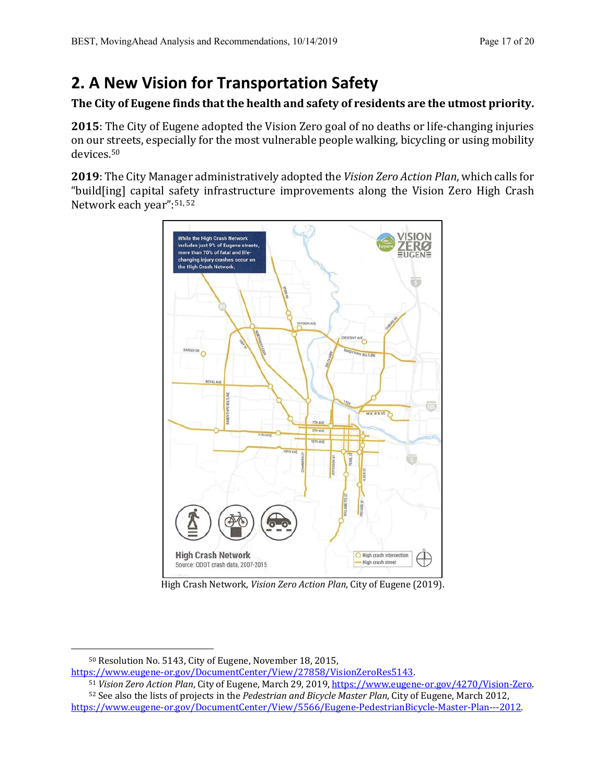# **2. A New Vision for Transportation Safety**

## The City of Eugene finds that the health and safety of residents are the utmost priority.

**2015**: The City of Eugene adopted the Vision Zero goal of no deaths or life-changing injuries on our streets, especially for the most vulnerable people walking, bicycling or using mobility devices.50

**2019**: The City Manager administratively adopted the *Vision Zero Action Plan*, which calls for "build[ing] capital safety infrastructure improvements along the Vision Zero High Crash Network each year": 51, 52



High Crash Network, *Vision Zero Action Plan*, City of Eugene (2019).

https://www.eugene-or.gov/DocumentCenter/View/27858/VisionZeroRes5143.

52 See also the lists of projects in the *Pedestrian and Bicycle Master Plan*, City of Eugene, March 2012, https://www.eugene-or.gov/DocumentCenter/View/5566/Eugene-PedestrianBicycle-Master-Plan---2012.

<sup>&</sup>lt;sup>50</sup> Resolution No. 5143, City of Eugene, November 18, 2015,

<sup>51</sup> Vision Zero Action Plan, City of Eugene, March 29, 2019, https://www.eugene-or.gov/4270/Vision-Zero.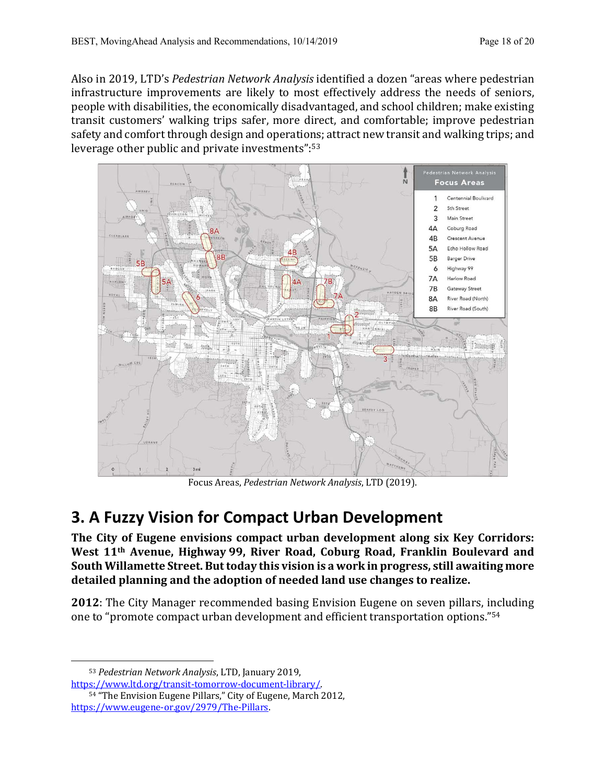Also in 2019, LTD's *Pedestrian Network Analysis* identified a dozen "areas where pedestrian infrastructure improvements are likely to most effectively address the needs of seniors, people with disabilities, the economically disadvantaged, and school children; make existing transit customers' walking trips safer, more direct, and comfortable; improve pedestrian safety and comfort through design and operations; attract new transit and walking trips; and leverage other public and private investments": $53$ 



Focus Areas, *Pedestrian Network Analysis*, LTD (2019).

# **3. A Fuzzy Vision for Compact Urban Development**

The City of Eugene envisions compact urban development along six Key Corridors: West 11<sup>th</sup> Avenue, Highway 99, River Road, Coburg Road, Franklin Boulevard and South Willamette Street. But today this vision is a work in progress, still awaiting more detailed planning and the adoption of needed land use changes to realize.

**2012**: The City Manager recommended basing Envision Eugene on seven pillars, including one to "promote compact urban development and efficient transportation options."<sup>54</sup>

<sup>53</sup> *Pedestrian Network Analysis*, LTD, January 2019,

https://www.ltd.org/transit-tomorrow-document-library/.

<sup>54 &</sup>quot;The Envision Eugene Pillars," City of Eugene, March 2012, https://www.eugene-or.gov/2979/The-Pillars.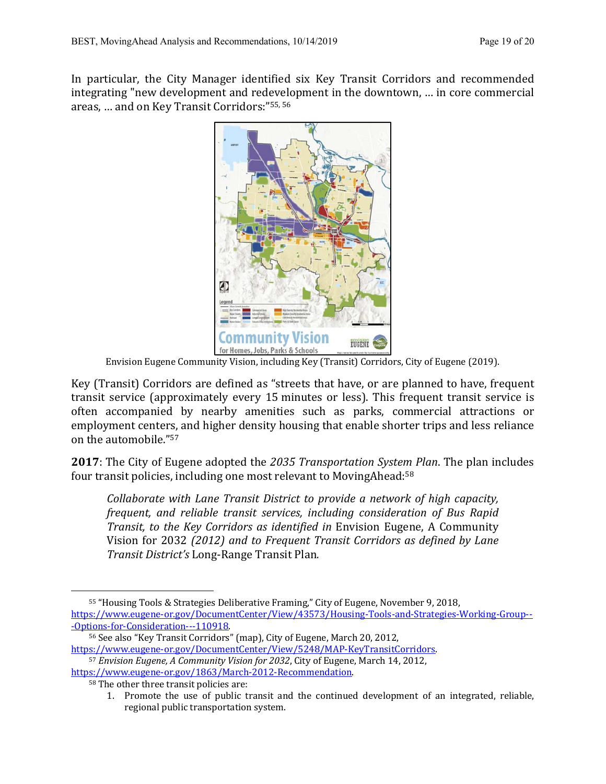In particular, the City Manager identified six Key Transit Corridors and recommended integrating "new development and redevelopment in the downtown, ... in core commercial areas, ... and on Key Transit Corridors:"<sup>55, 56</sup>



Envision Eugene Community Vision, including Key (Transit) Corridors, City of Eugene (2019).

Key (Transit) Corridors are defined as "streets that have, or are planned to have, frequent transit service (approximately every 15 minutes or less). This frequent transit service is often accompanied by nearby amenities such as parks, commercial attractions or employment centers, and higher density housing that enable shorter trips and less reliance on the automobile."<sup>57</sup>

**2017**: The City of Eugene adopted the 2035 *Transportation System Plan*. The plan includes four transit policies, including one most relevant to MovingAhead: $58$ 

*Collaborate with Lane Transit District to provide a network of high capacity, frequent, and reliable transit services, including consideration of Bus Rapid Transit, to the Key Corridors as identified in Envision Eugene, A Community* Vision for 2032 *(2012)* and to Frequent Transit Corridors as defined by Lane *Transit District's* Long-Range Transit Plan*.*

<sup>55 &</sup>quot;Housing Tools & Strategies Deliberative Framing," City of Eugene, November 9, 2018, https://www.eugene-or.gov/DocumentCenter/View/43573/Housing-Tools-and-Strategies-Working-Group-- -Options-for-Consideration---110918.

<sup>56</sup> See also "Key Transit Corridors" (map), City of Eugene, March 20, 2012, https://www.eugene-or.gov/DocumentCenter/View/5248/MAP-KeyTransitCorridors.

<sup>&</sup>lt;sup>57</sup> Envision Eugene, A Community Vision for 2032, City of Eugene, March 14, 2012, https://www.eugene-or.gov/1863/March-2012-Recommendation.

<sup>58</sup> The other three transit policies are:

<sup>1.</sup> Promote the use of public transit and the continued development of an integrated, reliable, regional public transportation system.